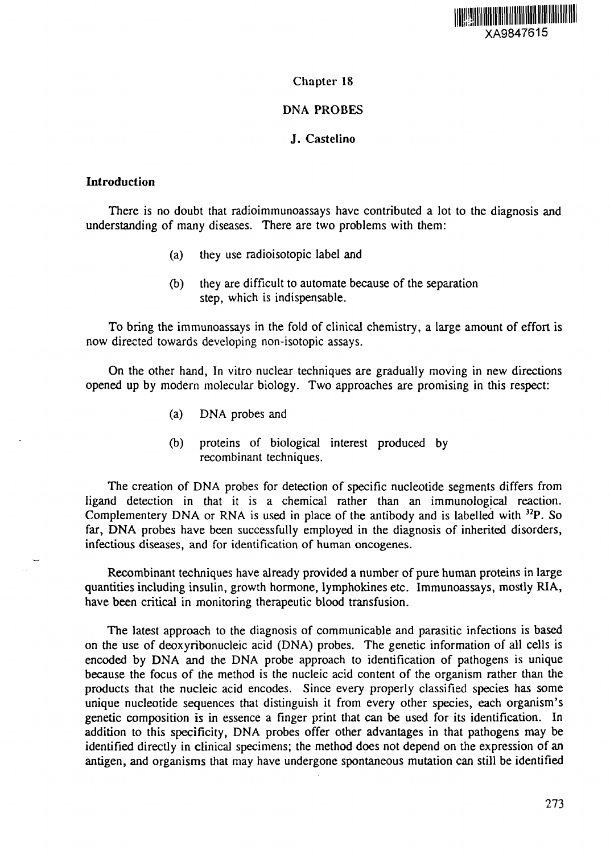

## Chapter 18

# DNA PROBES

# J. Castelino

## Introduction

There is no doubt that radioimmunoassays have contributed a lot to the diagnosis and understanding of many diseases. There are two problems with them:

- (a) they use radioisotopic label and
- (b) they are difficult to automate because of the separation step, which is indispensable.

To bring the immunoassays in the fold of clinical chemistry, a large amount of effort is now directed towards developing non-isotopic assays.

On the other hand, In vitro nuclear techniques are gradually moving in new directions opened up by modern molecular biology. Two approaches are promising in this respect:

- (a) DNA probes and
- (b) proteins of biological interest produced by recombinant techniques.

The creation of DNA probes for detection of specific nucleotide segments differs from ligand detection in that it is a chemical rather than an immunological reaction. Complementery DNA or RNA is used in place of the antibody and is labelled with <sup>32</sup>P. So far, DNA probes have been successfully employed in the diagnosis of inherited disorders, infectious diseases, and for identification of human oncogenes.

Recombinant techniques have already provided a number of pure human proteins in large quantities including insulin, growth hormone, lymphokines etc. Immunoassays, mostly RIA, have been critical in monitoring therapeutic blood transfusion.

The latest approach to the diagnosis of communicable and parasitic infections is based on the use of deoxyribonucleic acid (DNA) probes. The genetic information of all cells is encoded by DNA and the DNA probe approach to identification of pathogens is unique because the focus of the method is the nucleic acid content of the organism rather than the products that the nucleic acid encodes. Since every properly classified species has some unique nucleotide sequences that distinguish it from every other species, each organism's genetic composition is in essence a finger print that can be used for its identification. In addition to this specificity, DNA probes offer other advantages in that pathogens may be identified directly in clinical specimens; the method does not depend on the expression of an antigen, and organisms that may have undergone spontaneous mutation can still be identified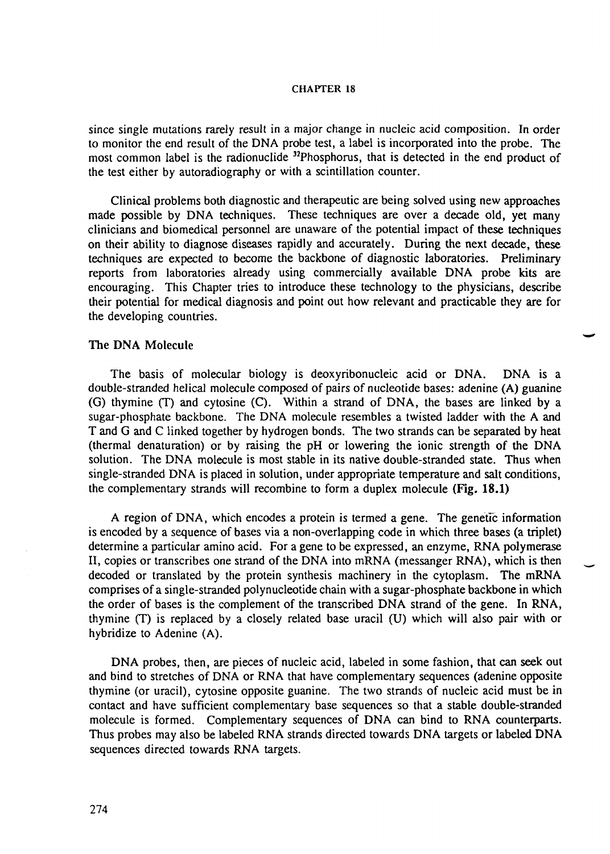since single mutations rarely result in a major change in nucleic acid composition. In order to monitor the end result of the DNA probe test, a label is incorporated into the probe. The most common label is the radionuclide <sup>32</sup>Phosphorus, that is detected in the end product of the test either by autoradiography or with a scintillation counter.

Clinical problems both diagnostic and therapeutic are being solved using new approaches made possible by DNA techniques. These techniques are over a decade old, yet many clinicians and biomedical personnel are unaware of the potential impact of these techniques on their ability to diagnose diseases rapidly and accurately. During the next decade, these techniques are expected to become the backbone of diagnostic laboratories. Preliminary reports from laboratories already using commercially available DNA probe kits are encouraging. This Chapter tries to introduce these technology to the physicians, describe their potential for medical diagnosis and point out how relevant and practicable they are for the developing countries.

### The DNA Molecule

The basis of molecular biology is deoxyribonucleic acid or DNA. DNA is a double-stranded helical molecule composed of pairs of nucleotide bases: adenine (A) guanine (G) thymine (T) and cytosine (C). Within a strand of DNA, the bases are linked by a sugar-phosphate backbone. The DNA molecule resembles a twisted ladder with the A and T and G and C linked together by hydrogen bonds. The two strands can be separated by heat (thermal denaturation) or by raising the pH or lowering the ionic strength of the DNA solution. The DNA molecule is most stable in its native double-stranded state. Thus when single-stranded DNA is placed in solution, under appropriate temperature and salt conditions, the complementary strands will recombine to form a duplex molecule (Fig. 18.1)

A region of DNA, which encodes a protein is termed a gene. The genetic information is encoded by a sequence of bases via a non-overlapping code in which three bases (a triplet) determine a particular amino acid. For a gene to be expressed, an enzyme, RNA polymerase II, copies or transcribes one strand of the DNA into mRNA (messanger RNA), which is then decoded or translated by the protein synthesis machinery in the cytoplasm. The mRNA comprises of a single-stranded polynucleotide chain with a sugar-phosphate backbone in which the order of bases is the complement of the transcribed DNA strand of the gene. In RNA, thymine (T) is replaced by a closely related base uracil (U) which will also pair with or hybridize to Adenine (A).

DNA probes, then, are pieces of nucleic acid, labeled in some fashion, that can seek out and bind to stretches of DNA or RNA that have complementary sequences (adenine opposite thymine (or uracil), cytosine opposite guanine. The two strands of nucleic acid must be in contact and have sufficient complementary base sequences so that a stable double-stranded molecule is formed. Complementary sequences of DNA can bind to RNA counterparts. Thus probes may also be labeled RNA strands directed towards DNA targets or labeled DNA sequences directed towards RNA targets.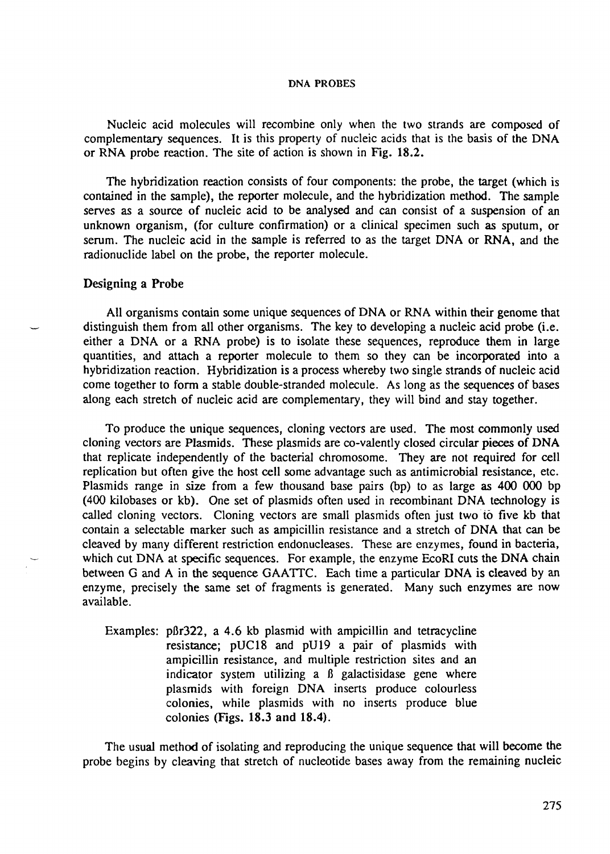Nucleic acid molecules will recombine only when the two strands are composed of complementary sequences. It is this property of nucleic acids that is the basis of the DNA or RNA probe reaction. The site of action is shown in Fig. 18.2.

The hybridization reaction consists of four components: the probe, the target (which is contained in the sample), the reporter molecule, and the hybridization method. The sample serves as a source of nucleic acid to be analysed and can consist of a suspension of an unknown organism, (for culture confirmation) or a clinical specimen such as sputum, or serum. The nucleic acid in the sample is referred to as the target DNA or RNA, and the radionuclide label on the probe, the reporter molecule.

### Designing a Probe

All organisms contain some unique sequences of DNA or RNA within their genome that distinguish them from all other organisms. The key to developing a nucleic acid probe (i.e. either a DNA or a RNA probe) is to isolate these sequences, reproduce them in large quantities, and attach a reporter molecule to them so they can be incorporated into a hybridization reaction. Hybridization is a process whereby two single strands of nucleic acid come together to form a stable double-stranded molecule. As long as the sequences of bases along each stretch of nucleic acid are complementary, they will bind and stay together.

To produce the unique sequences, cloning vectors are used. The most commonly used cloning vectors are Plasmids. These plasmids are co-valently closed circular pieces of DNA that replicate independently of the bacterial chromosome. They are not required for cell replication but often give the host cell some advantage such as antimicrobial resistance, etc. Plasmids range in size from a few thousand base pairs (bp) to as large as 400 000 bp (400 kilobases or kb). One set of plasmids often used in recombinant DNA technology is called cloning vectors. Cloning vectors are small plasmids often just two to five kb that contain a selectable marker such as ampicillin resistance and a stretch of DNA that can be cleaved by many different restriction endonucleases. These are enzymes, found in bacteria, which cut DNA at specific sequences. For example, the enzyme EcoRI cuts the DNA chain between G and A in the sequence GAATTC. Each time a particular DNA is cleaved by an enzyme, precisely the same set of fragments is generated. Many such enzymes are now available.

Examples: p $\beta r322$ , a 4.6 kb plasmid with ampicillin and tetracycline resistance; pUC18 and pU19 a pair of plasmids with ampicillin resistance, and multiple restriction sites and an indicator system utilizing a ß galactisidase gene where plasmids with foreign DNA inserts produce colourless colonies, while plasmids with no inserts produce blue colonies (Figs. 18.3 and 18.4).

The usual method of isolating and reproducing the unique sequence that will become the probe begins by cleaving that stretch of nucleotide bases away from the remaining nucleic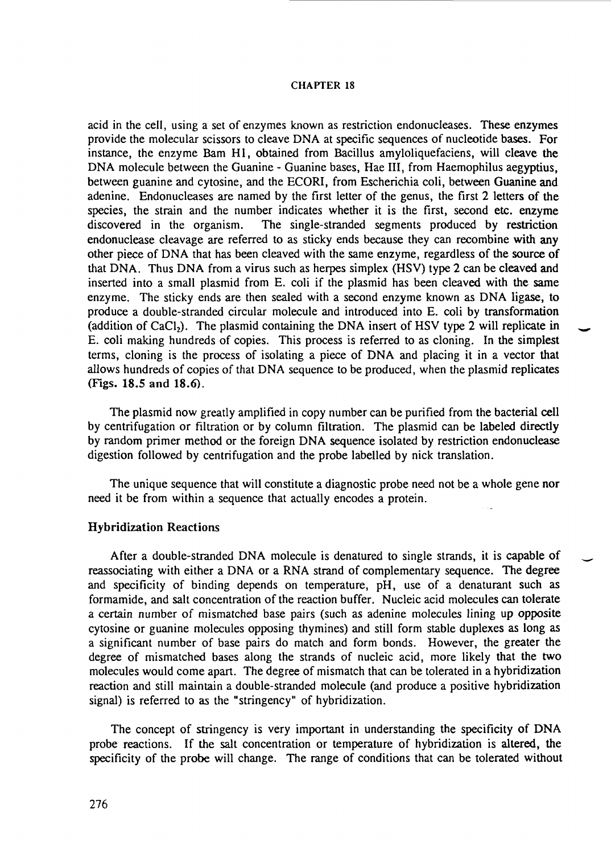acid in the cell, using a set of enzymes known as restriction endonucleases. These enzymes provide the molecular scissors to cleave DNA at specific sequences of nucleotide bases. For instance, the enzyme Bam HI, obtained from Bacillus amyloliquefaciens, will cleave the DNA molecule between the Guanine - Guanine bases, Hae III, from Haemophilus aegyptius, between guanine and cytosine, and the ECORI, from Escherichia coli, between Guanine and adenine. Endonucleases are named by the first letter of the genus, the first 2 letters of the species, the strain and the number indicates whether it is the first, second etc. enzyme discovered in the organism. The single-stranded segments produced by restriction endonuclease cleavage are referred to as sticky ends because they can recombine with any other piece of DNA that has been cleaved with the same enzyme, regardless of the source of that DNA. Thus DNA from a virus such as herpes simplex (HSV) type 2 can be cleaved and inserted into a small plasmid from E. coli if the plasmid has been cleaved with the same enzyme. The sticky ends are then sealed with a second enzyme known as DNA ligase, to produce a double-stranded circular molecule and introduced into E. coli by transformation (addition of  $CaCl<sub>2</sub>$ ). The plasmid containing the DNA insert of HSV type 2 will replicate in E. coli making hundreds of copies. This process is referred to as cloning. In the simplest terms, cloning is the process of isolating a piece of DNA and placing it in a vector that allows hundreds of copies of that DNA sequence to be produced, when the plasmid replicates (Figs. 18.5 and 18.6).

The plasmid now greatly amplified in copy number can be purified from the bacterial cell by centrifugation or filtration or by column filtration. The plasmid can be labeled directly by random primer method or the foreign DNA sequence isolated by restriction endonuclease digestion followed by centrifugation and the probe labelled by nick translation.

The unique sequence that will constitute a diagnostic probe need not be a whole gene nor need it be from within a sequence that actually encodes a protein.

### Hybridization Reactions

After a double-stranded DNA molecule is denatured to single strands, it is capable of reassociating with either a DNA or a RNA strand of complementary sequence. The degree and specificity of binding depends on temperature, pH, use of a denaturant such as formamide, and salt concentration of the reaction buffer. Nucleic acid molecules can tolerate a certain number of mismatched base pairs (such as adenine molecules lining up opposite cytosine or guanine molecules opposing thymines) and still form stable duplexes as long as a significant number of base pairs do match and form bonds. However, the greater the degree of mismatched bases along the strands of nucleic acid, more likely that the two molecules would come apart. The degree of mismatch that can be tolerated in a hybridization reaction and still maintain a double-stranded molecule (and produce a positive hybridization signal) is referred to as the "stringency" of hybridization.

The concept of stringency is very important in understanding the specificity of DNA probe reactions. If the salt concentration or temperature of hybridization is altered, the specificity of the probe will change. The range of conditions that can be tolerated without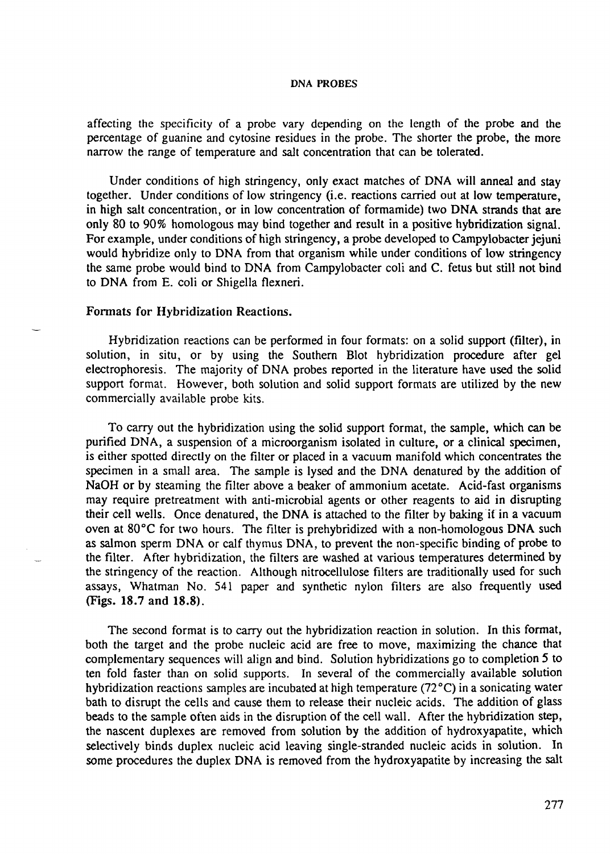affecting the specificity of a probe vary depending on the length of the probe and the percentage of guanine and cytosine residues in the probe. The shorter the probe, the more narrow the range of temperature and salt concentration that can be tolerated.

Under conditions of high stringency, only exact matches of DNA will anneal and stay together. Under conditions of low stringency (i.e. reactions carried out at low temperature, in high salt concentration, or in low concentration of formamide) two DNA strands that are only 80 to 90% homologous may bind together and result in a positive hybridization signal. For example, under conditions of high stringency, a probe developed to Campylobacter jejuni would hybridize only to DNA from that organism while under conditions of low stringency the same probe would bind to DNA from Campylobacter coli and C. fetus but still not bind to DNA from E. coli or Shigella flexneri.

#### Formats for Hybridization Reactions.

Hybridization reactions can be performed in four formats: on a solid support (filter), in solution, in situ, or by using the Southern Blot hybridization procedure after gel electrophoresis. The majority of DNA probes reported in the literature have used the solid support format. However, both solution and solid support formats are utilized by the new commercially available probe kits.

To carry out the hybridization using the solid support format, the sample, which can be purified DNA, a suspension of a microorganism isolated in culture, or a clinical specimen, is either spotted directly on the filter or placed in a vacuum manifold which concentrates the specimen in a small area. The sample is lysed and the DNA denatured by the addition of NaOH or by steaming the filter above a beaker of ammonium acetate. Acid-fast organisms may require pretreatment with anti-microbial agents or other reagents to aid in disrupting their cell wells. Once denatured, the DNA is attached to the filter by baking if in a vacuum oven at 80°C for two hours. The filter is prehybridized with a non-homologous DNA such as salmon sperm DNA or calf thymus DNA, to prevent the non-specific binding of probe to the filter. After hybridization, the filters are washed at various temperatures determined by the stringency of the reaction. Although nitrocellulose filters are traditionally used for such assays, Whatman No. 541 paper and synthetic nylon filters are also frequently used (Figs. 18.7 and 18.8).

The second format is to carry out the hybridization reaction in solution. In this format, both the target and the probe nucleic acid are free to move, maximizing the chance that complementary sequences will align and bind. Solution hybridizations go to completion 5 to ten fold faster than on solid supports. In several of the commercially available solution hybridization reactions samples are incubated at high temperature (72 °C) in a sonicating water bath to disrupt the cells and cause them to release their nucleic acids. The addition of glass beads to the sample often aids in the disruption of the cell wall. After the hybridization step, the nascent duplexes are removed from solution by the addition of hydroxyapatite, which selectively binds duplex nucleic acid leaving single-stranded nucleic acids in solution. In some procedures the duplex DNA is removed from the hydroxyapatite by increasing the salt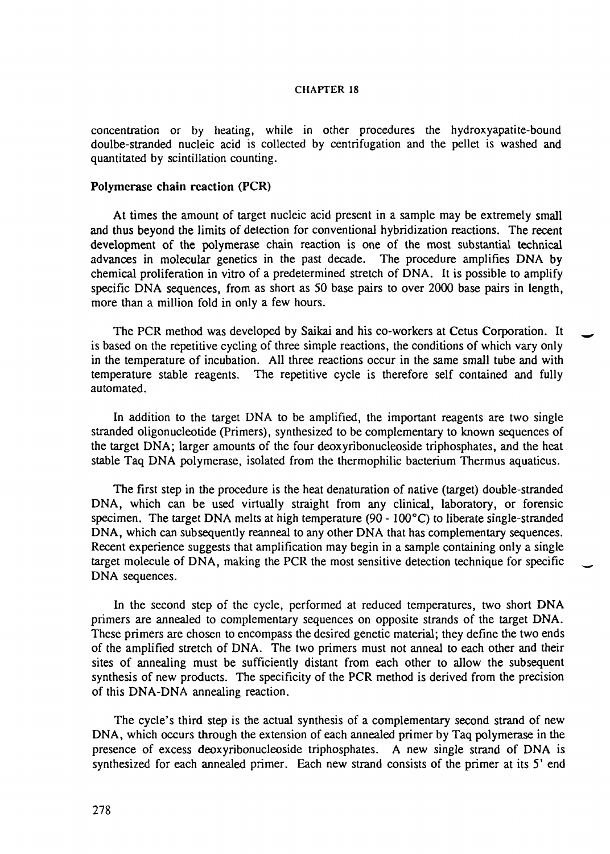concentration or by heating, while in other procedures the hydroxyapatite-bound doulbe-stranded nucleic acid is collected by centrifugation and the pellet is washed and quantitated by scintillation counting.

### Polymerase chain reaction (PCR)

At times the amount of target nucleic acid present in a sample may be extremely small and thus beyond the limits of detection for conventional hybridization reactions. The recent development of the polymerase chain reaction is one of the most substantial technical advances in molecular genetics in the past decade. The procedure amplifies DNA by chemical proliferation in vitro of a predetermined stretch of DNA. It is possible to amplify specific DNA sequences, from as short as 50 base pairs to over 2000 base pairs in length, more than a million fold in only a few hours.

The PCR method was developed by Saikai and his co-workers at Cetus Corporation. It is based on the repetitive cycling of three simple reactions, the conditions of which vary only in the temperature of incubation. All three reactions occur in the same small tube and with temperature stable reagents. The repetitive cycle is therefore self contained and fully automated.

In addition to the target DNA to be amplified, the important reagents are two single stranded oligonucleotide (Primers), synthesized to be complementary to known sequences of the target DNA; larger amounts of the four deoxyribonucleoside triphosphates, and the heat stable Taq DNA polymerase, isolated from the thermophilic bacterium Thermus aquaticus.

The first step in the procedure is the heat denaturation of native (target) double-stranded DNA, which can be used virtually straight from any clinical, laboratory, or forensic specimen. The target DNA melts at high temperature (90 - 100°C) to liberate single-stranded DNA, which can subsequently reanneal to any other DNA that has complementary sequences. Recent experience suggests that amplification may begin in a sample containing only a single target molecule of DNA, making the PCR the most sensitive detection technique for specific DNA sequences.

In the second step of the cycle, performed at reduced temperatures, two short DNA primers are annealed to complementary sequences on opposite strands of the target DNA. These primers are chosen to encompass the desired genetic material; they define the two ends of the amplified stretch of DNA. The two primers must not anneal to each other and their sites of annealing must be sufficiently distant from each other to allow the subsequent synthesis of new products. The specificity of the PCR method is derived from the precision of this DNA-DNA annealing reaction.

The cycle's third step is the actual synthesis of a complementary second strand of new DNA, which occurs through the extension of each annealed primer by Taq polymerase in the presence of excess deoxyribonucleoside triphosphates. A new single strand of DNA is synthesized for each annealed primer. Each new strand consists of the primer at its 5' end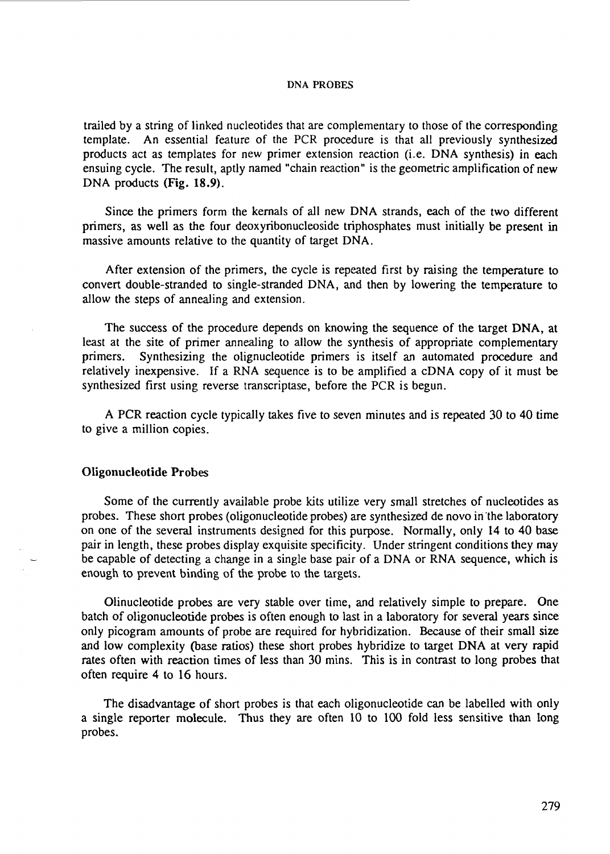trailed by a string of linked nucleotides that are complementary to those of the corresponding template. An essential feature of the PCR procedure is that all previously synthesized products act as templates for new primer extension reaction (i.e. DNA synthesis) in each ensuing cycle. The result, aptly named "chain reaction" is the geometric amplification of new DNA products (Fig. 18.9).

Since the primers form the kernals of all new DNA strands, each of the two different primers, as well as the four deoxyribonucleoside triphosphates must initially be present in massive amounts relative to the quantity of target DNA.

After extension of the primers, the cycle is repeated first by raising the temperature to convert double-stranded to single-stranded DNA, and then by lowering the temperature to allow the steps of annealing and extension.

The success of the procedure depends on knowing the sequence of the target DNA, at least at the site of primer annealing to allow the synthesis of appropriate complementary primers. Synthesizing the olignucleotide primers is itself an automated procedure and relatively inexpensive. If a RNA sequence is to be amplified a cDNA copy of it must be synthesized first using reverse transcriptase, before the PCR is begun.

A PCR reaction cycle typically takes five to seven minutes and is repeated 30 to 40 time to give a million copies.

## Oligonucleotide Probes

Some of the currently available probe kits utilize very small stretches of nucleotides as probes. These short probes (oligonucleotide probes) are synthesized de novo in the laboratory on one of the several instruments designed for this purpose. Normally, only 14 to 40 base pair in length, these probes display exquisite specificity. Under stringent conditions they may be capable of detecting a change in a single base pair of a DNA or RNA sequence, which is enough to prevent binding of the probe to the targets.

Olinucleotide probes are very stable over time, and relatively simple to prepare. One batch of oligonucleotide probes is often enough to last in a laboratory for several years since only picogram amounts of probe are required for hybridization. Because of their small size and low complexity (base ratios) these short probes hybridize to target DNA at very rapid rates often with reaction times of less than 30 mins. This is in contrast to long probes that often require 4 to 16 hours.

The disadvantage of short probes is that each oligonucleotide can be labelled with only a single reporter molecule. Thus they are often 10 to 100 fold less sensitive than long probes.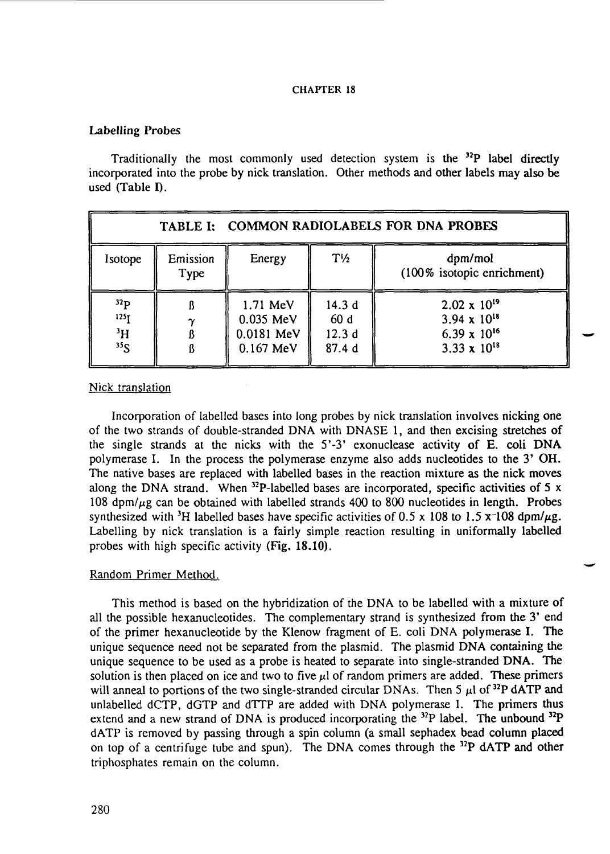### Labelling Probes

Traditionally the most commonly used detection system is the <sup>32</sup>P label directly incorporated into the probe by nick translation. Other methods and other labels may also be used (Table I).

| TABLE I: COMMON RADIOLABELS FOR DNA PROBES               |                  |                                                  |                                |                                                                                        |  |  |  |
|----------------------------------------------------------|------------------|--------------------------------------------------|--------------------------------|----------------------------------------------------------------------------------------|--|--|--|
| Isotope                                                  | Emission<br>Type | Energy                                           | $T\frac{1}{2}$                 | dpm/mol<br>(100% isotopic enrichment)                                                  |  |  |  |
| 32 <sub>p</sub><br>125 τ<br>$\rm ^3H$<br>35 <sub>S</sub> |                  | 1.71 MeV<br>0.035 MeV<br>0.0181 MeV<br>0.167 MeV | 14.3d<br>60d<br>12.3d<br>87.4d | $2.02 \times 10^{19}$<br>$3.94 \times 10^{18}$<br>6.39 x $10^{16}$<br>3.33 x $10^{18}$ |  |  |  |

### Nick translation

Incorporation of labelled bases into long probes by nick translation involves nicking one of the two strands of double-stranded DNA with DNASE 1, and then excising stretches of the single strands at the nicks with the 5'-3' exonuclease activity of E. coli **DNA** polymerase I. In the process the polymerase enzyme also adds nucleotides to the 3' OH. The native bases are replaced with labelled bases in the reaction mixture as the nick moves along the DNA strand. When  $32P$ -labelled bases are incorporated, specific activities of 5 x 108 dpm/ $\mu$ g can be obtained with labelled strands 400 to 800 nucleotides in length. Probes synthesized with <sup>3</sup>H labelled bases have specific activities of 0.5 x 108 to 1.5 x 108 dpm/ $\mu$ g. Labelling by nick translation is a fairly simple reaction resulting in uniformally labelled probes with high specific activity **(Fig. 18.10).**

## Random Primer Method.

This method is based on the hybridization of the DNA to be labelled with a mixture of all the possible hexanucleotides. The complementary strand is synthesized from the 3' end of the primer hexanucleotide by the Klenow fragment of E. coli DNA polymerase I. The unique sequence need not be separated from the plasmid. The plasmid DNA containing the unique sequence to be used as a probe is heated to separate into single-stranded DNA. The solution is then placed on ice and two to five  $\mu$ l of random primers are added. These primers will anneal to portions of the two single-stranded circular DNAs. Then 5  $\mu$ l of <sup>32</sup>P dATP and unlabelled dCTP, dGTP and dTTP are added with DNA polymerase I. The primers thus extend and a new strand of DNA is produced incorporating the  $32P$  label. The unbound  $32P$ dATP is removed by passing through a spin column (a small sephadex bead column placed on top of a centrifuge tube and spun). The DNA comes through the  $^{32}P$  dATP and other triphosphates remain on the column.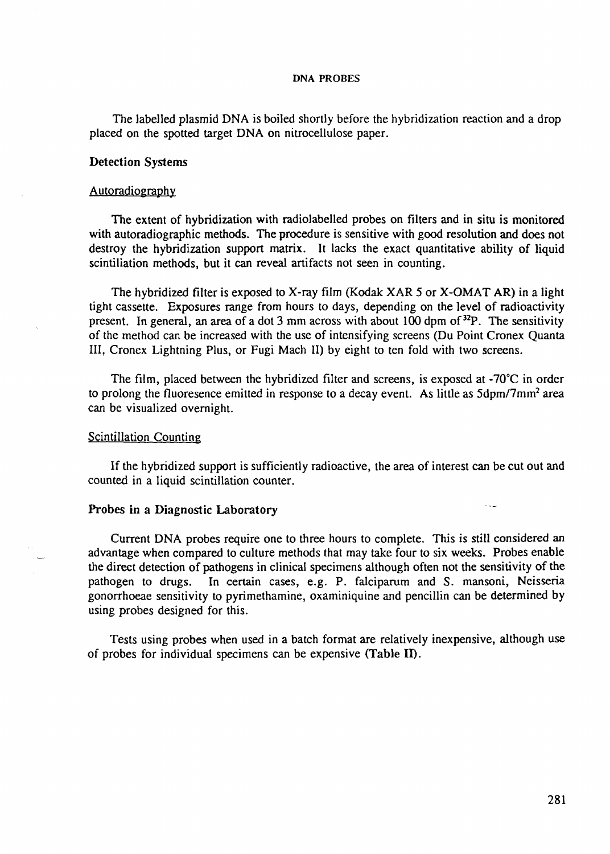The labelled plasmid DNA is boiled shortly before the hybridization reaction and a drop placed on the spotted target DNA on nitrocellulose paper.

### Detection Systems

### Autoradiography

The extent of hybridization with radiolabelled probes on filters and in situ is monitored with autoradiographic methods. The procedure is sensitive with good resolution and does not destroy the hybridization support matrix. It lacks the exact quantitative ability of liquid scintillation methods, but it can reveal artifacts not seen in counting.

The hybridized filter is exposed to X-ray film (Kodak XAR 5 or X-OMAT AR) in a light tight cassette. Exposures range from hours to days, depending on the level of radioactivity present. In general, an area of a dot 3 mm across with about 100 dpm of <sup>32</sup>P. The sensitivity of the method can be increased with the use of intensifying screens (Du Point Cronex Quanta III, Cronex Lightning Plus, or Fugi Mach II) by eight to ten fold with two screens.

The film, placed between the hybridized filter and screens, is exposed at  $-70^{\circ}$ C in order to prolong the fluoresence emitted in response to a decay event. As little as  $5dpm/7mm^2$  area can be visualized overnight.

### Scintillation Counting

If the hybridized support is sufficiently radioactive, the area of interest can be cut out and counted in a liquid scintillation counter.

#### Probes in a Diagnostic Laboratory

Current DNA probes require one to three hours to complete. This is still considered an advantage when compared to culture methods that may take four to six weeks. Probes enable the direct detection of pathogens in clinical specimens although often not the sensitivity of the pathogen to drugs. In certain cases, e.g. P. falciparum and S. mansoni, Neisseria gonorrhoeae sensitivity to pyrimethamine, oxaminiquine and pencillin can be determined by using probes designed for this.

Tests using probes when used in a batch format are relatively inexpensive, although use of probes for individual specimens can be expensive (Table II).

 $\sim$   $\sim$   $\sim$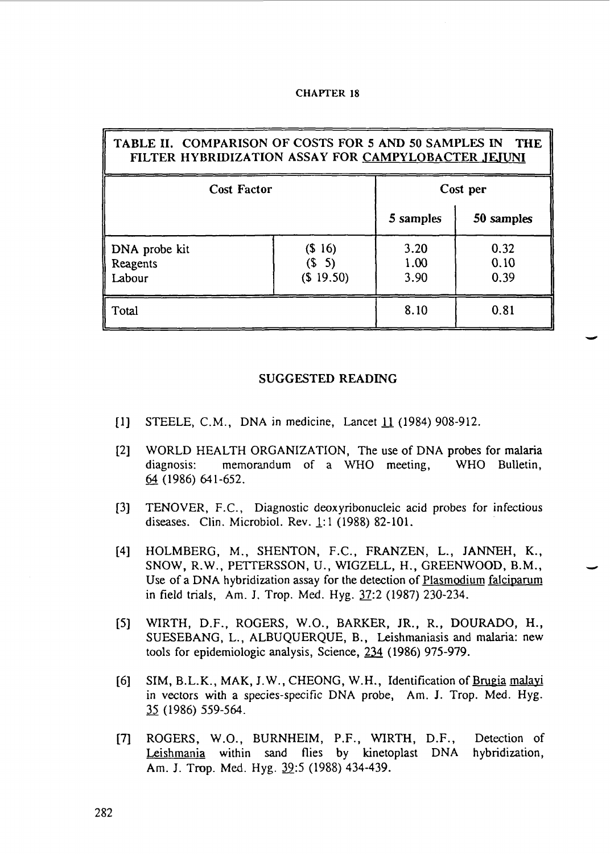|  | <b>CHAPTER 18</b> |  |
|--|-------------------|--|
|--|-------------------|--|

| TABLE II. COMPARISON OF COSTS FOR 5 AND 50 SAMPLES IN<br><b>THE</b><br>FILTER HYBRIDIZATION ASSAY FOR CAMPYLOBACTER JEJUNI |                                              |                      |                      |  |  |  |  |
|----------------------------------------------------------------------------------------------------------------------------|----------------------------------------------|----------------------|----------------------|--|--|--|--|
| <b>Cost Factor</b>                                                                                                         | Cost per                                     |                      |                      |  |  |  |  |
|                                                                                                                            |                                              | 5 samples            | 50 samples           |  |  |  |  |
| DNA probe kit<br>Reagents<br>Labour                                                                                        | (S <sub>16</sub> )<br>$($ \$ 5)<br>(\$19.50) | 3.20<br>1.00<br>3.90 | 0.32<br>0.10<br>0.39 |  |  |  |  |
| Total                                                                                                                      |                                              | 8.10                 | 0.81                 |  |  |  |  |

#### SUGGESTED READING

- [1] STEELE, CM., DNA in medicine, Lancet *U* (1984) 908-912.
- [2] WORLD HEALTH ORGANIZATION, The use of DNA probes for malaria diagnosis: memorandum of a WHO meeting, WHO Bulletin,  $64(1986)641-652$ .
- [3] TENOVER, F.C., Diagnostic deoxyribonucleic acid probes for infectious diseases. Clin. Microbiol. Rev. 1:1 (1988) 82-101.
- [4] HOLMBERG, M., SHENTON, F.C., FRANZEN, L., JANNEH, K., SNOW, R.W., PETTERSSON, U., WIGZELL, H., GREENWOOD, B.M., Use of a DNA hybridization assay for the detection of Plasmodium falciparum in field trials, Am. J. Trop. Med. Hyg. 37:2 (1987) 230-234.
- [5] WIRTH, D.F., ROGERS, W.O., BARKER, JR., R., DOURADO, H., SUESEBANG, L., ALBUQUERQUE, B., Leishmaniasis and malaria: new tools for epidemiologic analysis, Science, 224 (1986) 975-979.
- [6] SIM, B.L.K., MAK, J.W., CHEONG, W.H., Identification of Brugia malavi in vectors with a species-specific DNA probe, Am. J. Trop. Med. Hyg. 35 (1986) 559-564.
- [7] ROGERS, W.O., BURNHEIM, P.F., WIRTH, D.F., Detection of Leishmania within sand flies by kinetoplast DNA hybridization, Am. J. Trop. Med. Hyg. 39:5 (1988) 434-439.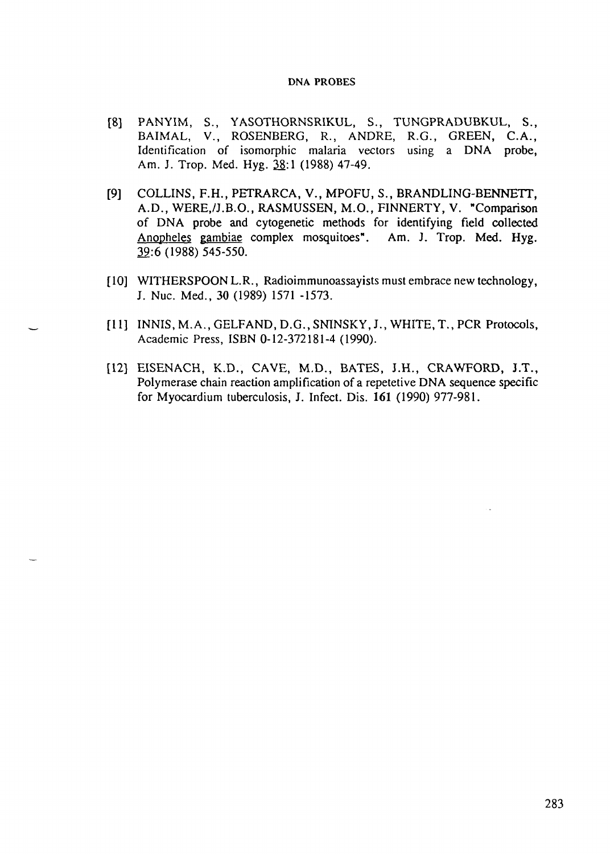- [8] PANYIM, S., YASOTHORNSRIKUL, S., TUNGPRADUBKUL, S., BAIMAL, V., ROSENBERG, R., ANDRE, R.G., GREEN, C.A., Identification of isomorphic malaria vectors using a DNA probe, Am. J. Trop. Med. Hyg. 38:1 (1988) 47-49.
- [9] COLLINS, F.H., PETRARCA, V., MPOFU, S., BRANDLING-BENNETT, A.D., WERE./J.B.O., RASMUSSEN, M.O., FINNERTY, V. "Comparison of DNA probe and cytogenetic methods for identifying field collected Anopheles gambiae complex mosquitoes". Am. J. Trop. Med. Hyg. 39:6 (1988) 545-550.
- [10] WITHERSPOON L.R., Radioimmunoassayists must embrace new technology, J. Nuc. Med., 30 (1989) 1571 -1573.
- [11] INNIS, M.A., GELFAND, D.G., SNINSKY, J., WHITE, T., PCR Protocols, Academic Press, ISBN 0-12-372181-4 (1990).
- [12] EISENACH, K.D., CAVE, M.D., BATES, J.H., CRAWFORD, J.T., Polymerase chain reaction amplification of a repetetive DNA sequence specific for Myocardium tuberculosis, J. Infect. Dis. 161 (1990) 977-981.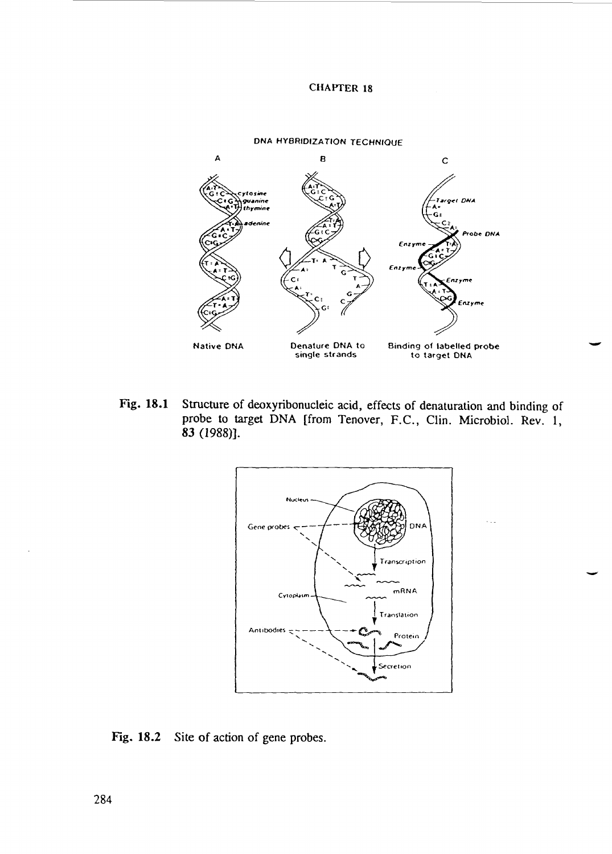

Fig. 18.1 Structure of deoxyribonucleic acid, effects of denaturation and binding of probe to target DNA [from Tenover, F.C., Clin. Microbiol. Rev. 1, 83 (1988)].



Fig. 18.2 Site of action of gene probes.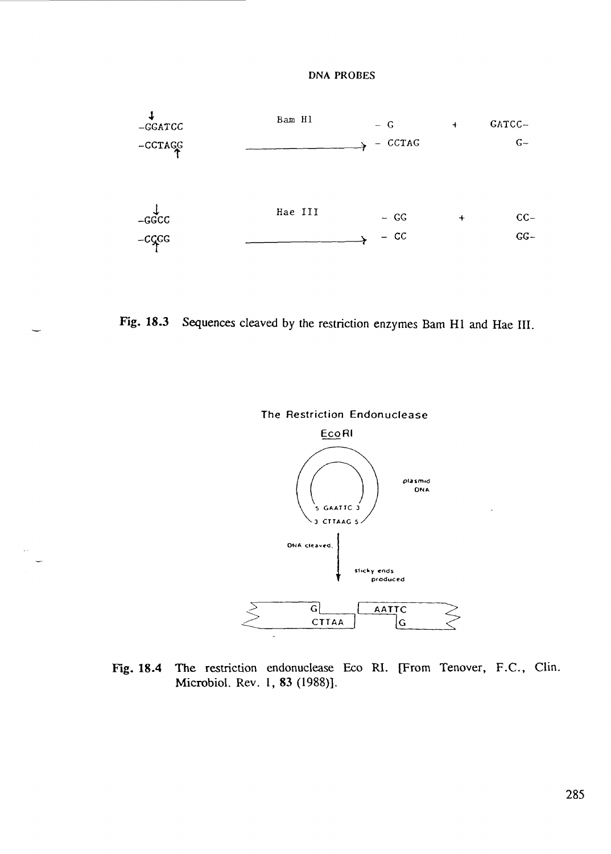





Fig. 18.4 The restriction endonuclease Eco RI. [From Tenover, F.C., Clin. Microbiol. Rev. 1, 83 (1988)].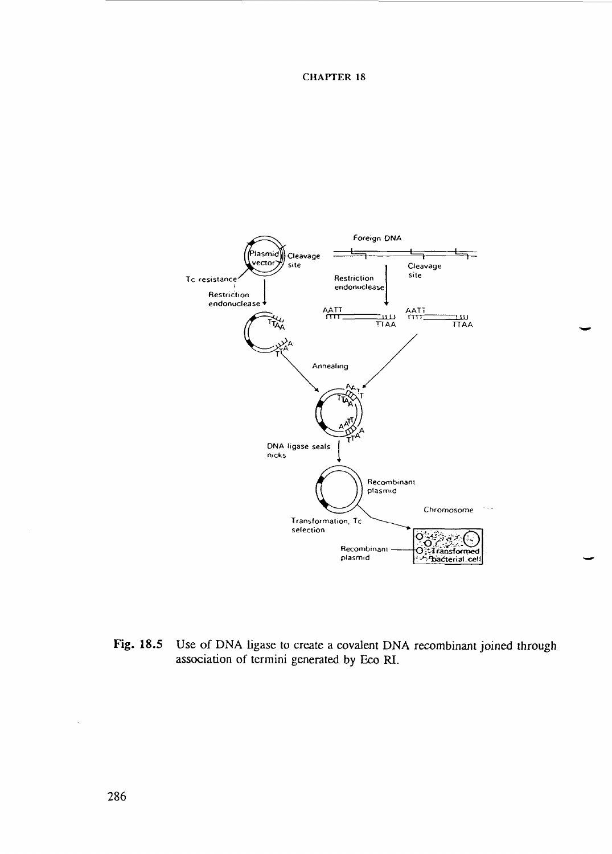

Fig. 18.5 Use of DNA ligase to create a covalent DNA recombinant joined through association of termini generated by Eco RI.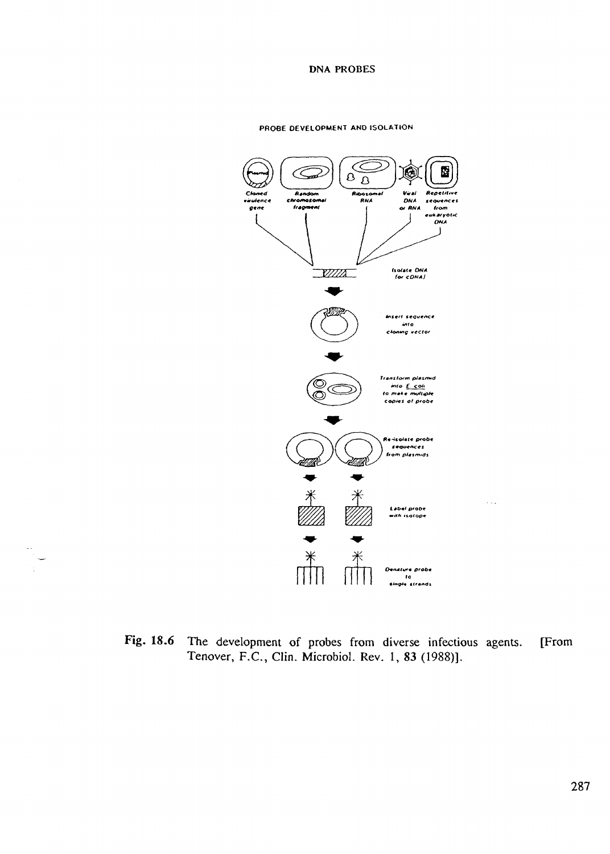#### PROBE DEVELOPMENT AND ISOLATION



Fig. 18.6 The development of probes from diverse infectious agents. [From Tenover, F.C., Clin. Microbiol. Rev. 1, 83 (1988)].

 $\ddotsc$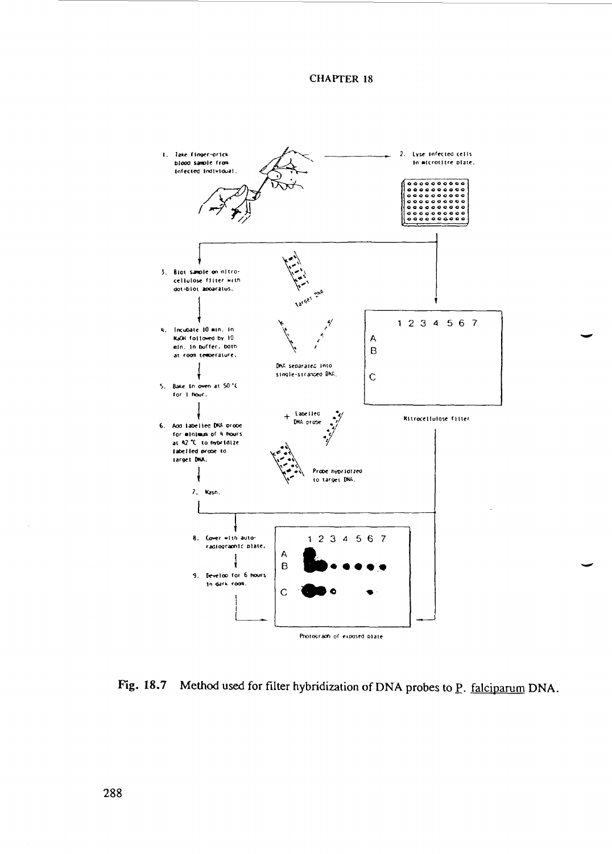

Fig. 18.7 Method used for filter hybridization of DNA probes to  $\underline{P}$ . falciparum DNA.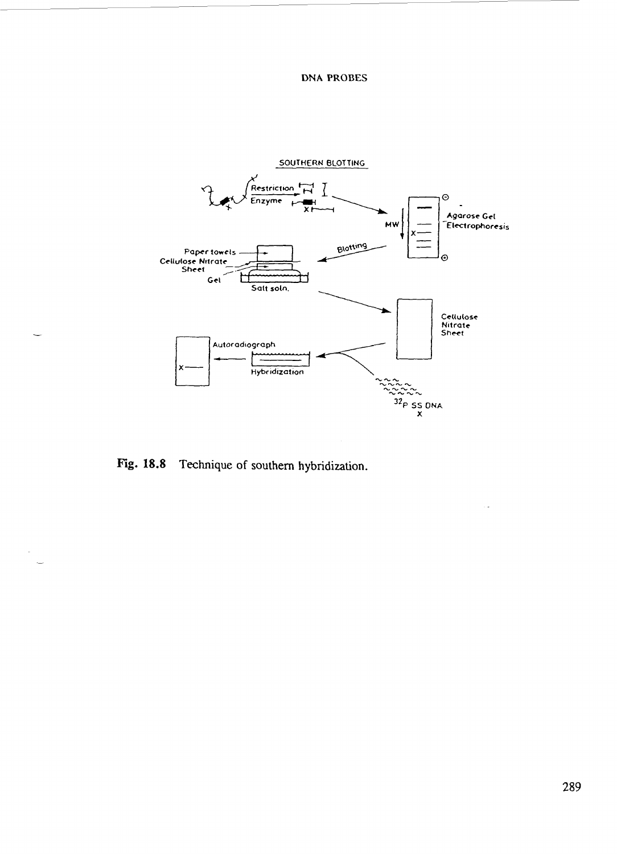

Technique of southern hybridization. Fig. 18.8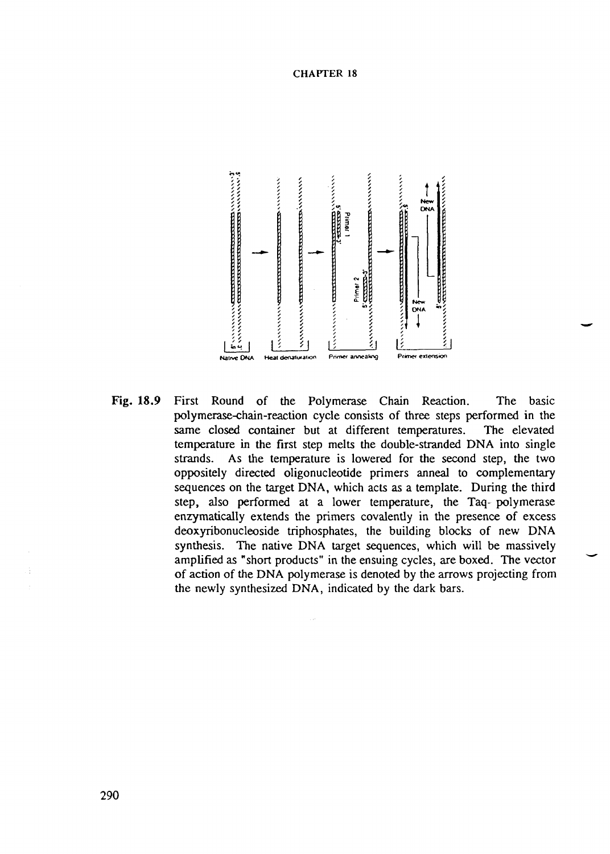

Fig. 18.9 First Round of the Polymerase Chain Reaction. The basic polymerase-chain-reaction cycle consists of three steps performed in the same closed container but at different temperatures. The elevated temperature in the first step melts the double-stranded DNA into single strands. As the temperature is lowered for the second step, the two oppositely directed oligonucleotide primers anneal to complementary sequences on the target DNA, which acts as a template. During the third step, also performed at a lower temperature, the Taq- polymerase enzymatically extends the primers covalently in the presence of excess deoxyribonucleoside triphosphates, the building blocks of new DNA synthesis. The native DNA target sequences, which will be massively amplified as "short products" in the ensuing cycles, are boxed. The vector of action of the DNA polymerase is denoted by the arrows projecting from the newly synthesized DNA, indicated by the dark bars.